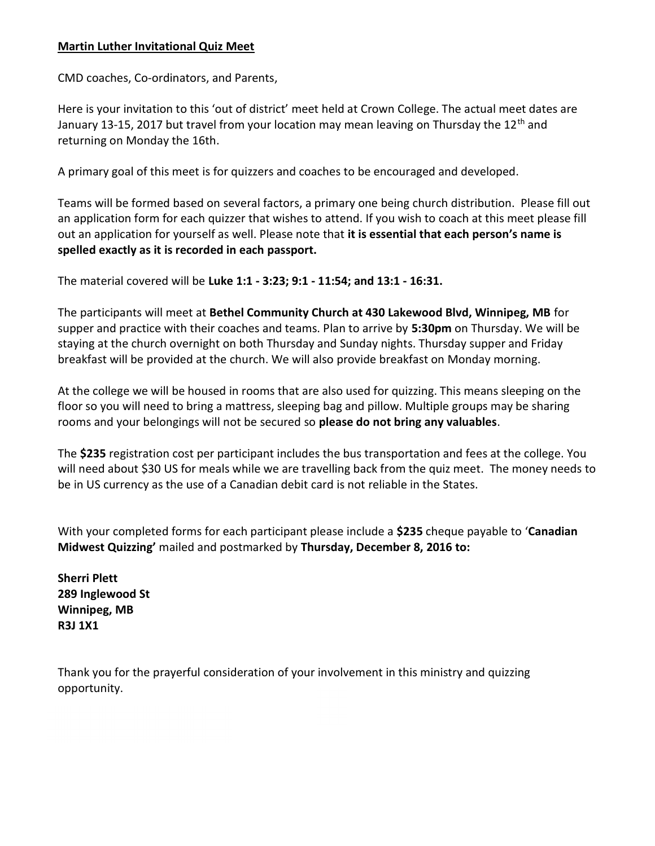### Martin Luther Invitational Quiz Meet

CMD coaches, Co-ordinators, and Parents,

Here is your invitation to this 'out of district' meet held at Crown College. The actual meet dates are January 13-15, 2017 but travel from your location may mean leaving on Thursday the 12<sup>th</sup> and returning on Monday the 16th.

A primary goal of this meet is for quizzers and coaches to be encouraged and developed.

Teams will be formed based on several factors, a primary one being church distribution. Please fill out an application form for each quizzer that wishes to attend. If you wish to coach at this meet please fill out an application for yourself as well. Please note that it is essential that each person's name is spelled exactly as it is recorded in each passport.

The material covered will be Luke 1:1 - 3:23; 9:1 - 11:54; and 13:1 - 16:31.

The participants will meet at Bethel Community Church at 430 Lakewood Blvd, Winnipeg, MB for supper and practice with their coaches and teams. Plan to arrive by 5:30pm on Thursday. We will be staying at the church overnight on both Thursday and Sunday nights. Thursday supper and Friday breakfast will be provided at the church. We will also provide breakfast on Monday morning.

At the college we will be housed in rooms that are also used for quizzing. This means sleeping on the floor so you will need to bring a mattress, sleeping bag and pillow. Multiple groups may be sharing rooms and your belongings will not be secured so please do not bring any valuables.

The \$235 registration cost per participant includes the bus transportation and fees at the college. You will need about \$30 US for meals while we are travelling back from the quiz meet. The money needs to be in US currency as the use of a Canadian debit card is not reliable in the States.

With your completed forms for each participant please include a \$235 cheque payable to 'Canadian Midwest Quizzing' mailed and postmarked by Thursday, December 8, 2016 to:

Sherri Plett 289 Inglewood St Winnipeg, MB R3J 1X1

Thank you for the prayerful consideration of your involvement in this ministry and quizzing opportunity.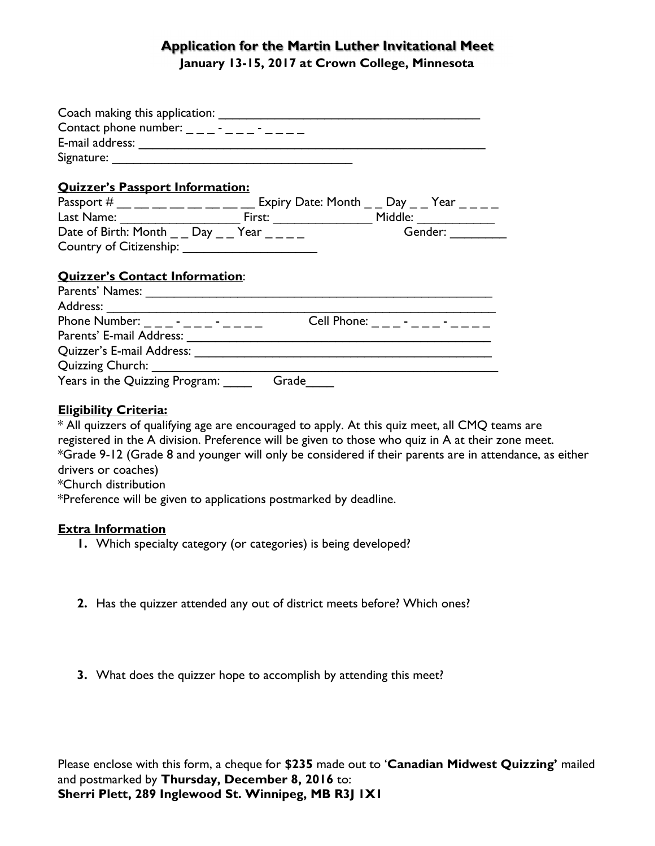# Application for the Martin Luther Invitational Meet January 13-15, 2017 at Crown College, Minnesota

| Contact phone number: $\frac{1}{1}$ $\frac{1}{1}$ $\frac{1}{1}$ $\frac{1}{1}$ $\frac{1}{1}$ $\frac{1}{1}$ $\frac{1}{1}$                                                                                                       |       |                                       |
|-------------------------------------------------------------------------------------------------------------------------------------------------------------------------------------------------------------------------------|-------|---------------------------------------|
| <b>Quizzer's Passport Information:</b>                                                                                                                                                                                        |       |                                       |
| Passport # __ __ __ __ __ __ __ Expiry Date: Month _ _ Day _ _ Year _ _ _ _                                                                                                                                                   |       |                                       |
|                                                                                                                                                                                                                               |       |                                       |
| Date of Birth: Month $\_\_$ Day $\_\_$ Year $\_\_$                                                                                                                                                                            |       | Gender:                               |
|                                                                                                                                                                                                                               |       |                                       |
| <b>Quizzer's Contact Information:</b>                                                                                                                                                                                         |       |                                       |
|                                                                                                                                                                                                                               |       |                                       |
| Phone Number: $\frac{1}{1}$ $\frac{1}{1}$ $\frac{1}{1}$ $\frac{1}{1}$ $\frac{1}{1}$ $\frac{1}{1}$ $\frac{1}{1}$ $\frac{1}{1}$                                                                                                 |       | Cell Phone: _ _ _ - _ _ - _ - _ _ _ _ |
| Parents' E-mail Address: National Address and Address and Address and Address and Address and Address and Address and Address and Address and Address and Address and Address and Address and Address and Address and Address |       |                                       |
|                                                                                                                                                                                                                               |       |                                       |
|                                                                                                                                                                                                                               |       |                                       |
| Years in the Quizzing Program:                                                                                                                                                                                                | Grade |                                       |

# Eligibility Criteria:

\* All quizzers of qualifying age are encouraged to apply. At this quiz meet, all CMQ teams are registered in the A division. Preference will be given to those who quiz in A at their zone meet. \*Grade 9-12 (Grade 8 and younger will only be considered if their parents are in attendance, as either drivers or coaches) \*Church distribution

\*Preference will be given to applications postmarked by deadline.

## Extra Information

- 1. Which specialty category (or categories) is being developed?
- 2. Has the quizzer attended any out of district meets before? Which ones?
- 3. What does the quizzer hope to accomplish by attending this meet?

Please enclose with this form, a cheque for \$235 made out to 'Canadian Midwest Quizzing' mailed and postmarked by Thursday, December 8, 2016 to: Sherri Plett, 289 Inglewood St. Winnipeg, MB R3J 1X1